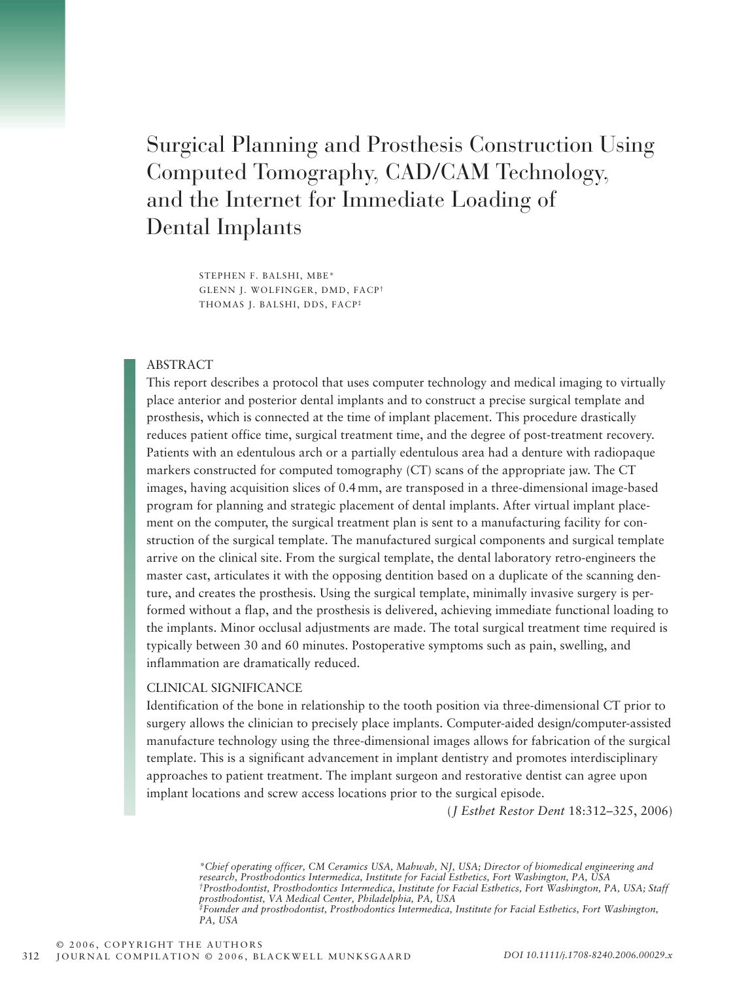# Surgical Planning and Prosthesis Construction Using Computed Tomography, CAD/CAM Technology, and the Internet for Immediate Loading of Dental Implants

STEPHEN F. BALSHI, MBE\* GLENN J. WOLFINGER, DMD, FACP† THOMAS J. BALSHI, DDS, FACP‡

# ABSTRACT

This report describes a protocol that uses computer technology and medical imaging to virtually place anterior and posterior dental implants and to construct a precise surgical template and prosthesis, which is connected at the time of implant placement. This procedure drastically reduces patient office time, surgical treatment time, and the degree of post-treatment recovery. Patients with an edentulous arch or a partially edentulous area had a denture with radiopaque markers constructed for computed tomography (CT) scans of the appropriate jaw. The CT images, having acquisition slices of 0.4 mm, are transposed in a three-dimensional image-based program for planning and strategic placement of dental implants. After virtual implant placement on the computer, the surgical treatment plan is sent to a manufacturing facility for construction of the surgical template. The manufactured surgical components and surgical template arrive on the clinical site. From the surgical template, the dental laboratory retro-engineers the master cast, articulates it with the opposing dentition based on a duplicate of the scanning denture, and creates the prosthesis. Using the surgical template, minimally invasive surgery is performed without a flap, and the prosthesis is delivered, achieving immediate functional loading to the implants. Minor occlusal adjustments are made. The total surgical treatment time required is typically between 30 and 60 minutes. Postoperative symptoms such as pain, swelling, and inflammation are dramatically reduced.

## CLINICAL SIGNIFICANCE

Identification of the bone in relationship to the tooth position via three-dimensional CT prior to surgery allows the clinician to precisely place implants. Computer-aided design/computer-assisted manufacture technology using the three-dimensional images allows for fabrication of the surgical template. This is a significant advancement in implant dentistry and promotes interdisciplinary approaches to patient treatment. The implant surgeon and restorative dentist can agree upon implant locations and screw access locations prior to the surgical episode.

(*J Esthet Restor Dent* 18:312–325, 2006)

*\*Chief operating officer, CM Ceramics USA, Mahwah, NJ, USA; Director of biomedical engineering and research, Prosthodontics Intermedica, Institute for Facial Esthetics, Fort Washington, PA, USA †Prosthodontist, Prosthodontics Intermedica, Institute for Facial Esthetics, Fort Washington, PA, USA; Staff prosthodontist, VA Medical Center, Philadelphia, PA, USA ‡Founder and prosthodontist, Prosthodontics Intermedica, Institute for Facial Esthetics, Fort Washington, PA, USA*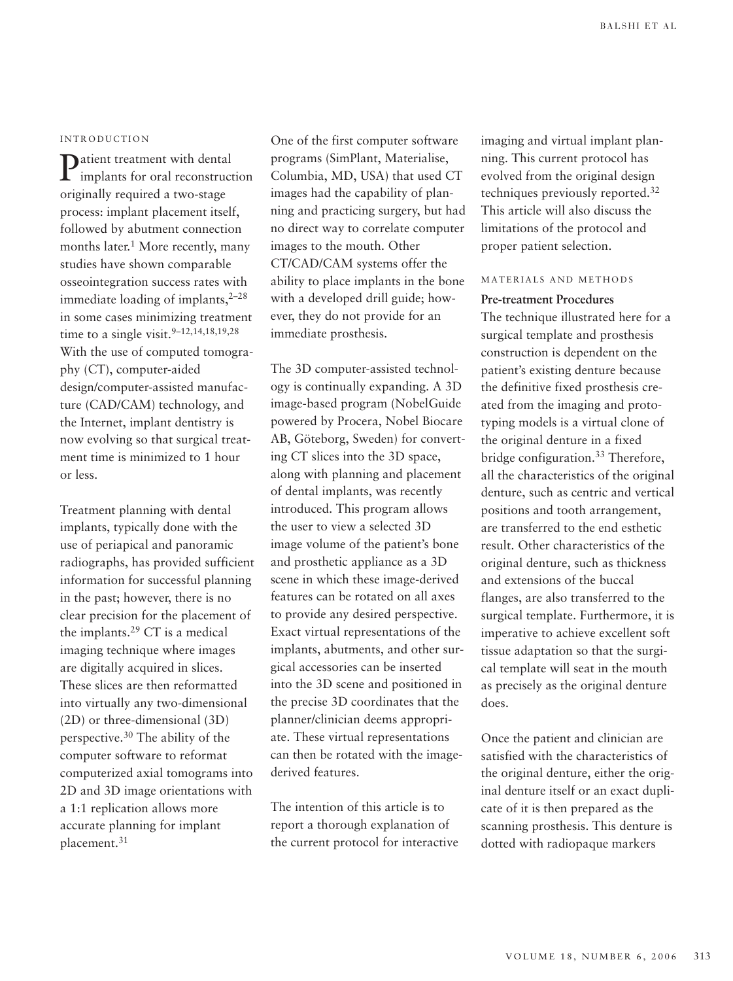# INTRODUCTION

Patient treatment with dental implants for oral reconstruction originally required a two-stage process: implant placement itself, followed by abutment connection months later.<sup>1</sup> More recently, many studies have shown comparable osseointegration success rates with immediate loading of implants, $2-28$ in some cases minimizing treatment time to a single visit.<sup>9-12,14,18,19,28</sup> With the use of computed tomography (CT), computer-aided design/computer-assisted manufacture (CAD/CAM) technology, and the Internet, implant dentistry is now evolving so that surgical treatment time is minimized to 1 hour or less.

Treatment planning with dental implants, typically done with the use of periapical and panoramic radiographs, has provided sufficient information for successful planning in the past; however, there is no clear precision for the placement of the implants.<sup>29</sup> CT is a medical imaging technique where images are digitally acquired in slices. These slices are then reformatted into virtually any two-dimensional (2D) or three-dimensional (3D) perspective.30 The ability of the computer software to reformat computerized axial tomograms into 2D and 3D image orientations with a 1:1 replication allows more accurate planning for implant placement.<sup>31</sup>

One of the first computer software programs (SimPlant, Materialise, Columbia, MD, USA) that used CT images had the capability of planning and practicing surgery, but had no direct way to correlate computer images to the mouth. Other CT/CAD/CAM systems offer the ability to place implants in the bone with a developed drill guide; however, they do not provide for an immediate prosthesis.

The 3D computer-assisted technology is continually expanding. A 3D image-based program (NobelGuide powered by Procera, Nobel Biocare AB, Göteborg, Sweden) for converting CT slices into the 3D space, along with planning and placement of dental implants, was recently introduced. This program allows the user to view a selected 3D image volume of the patient's bone and prosthetic appliance as a 3D scene in which these image-derived features can be rotated on all axes to provide any desired perspective. Exact virtual representations of the implants, abutments, and other surgical accessories can be inserted into the 3D scene and positioned in the precise 3D coordinates that the planner/clinician deems appropriate. These virtual representations can then be rotated with the imagederived features.

The intention of this article is to report a thorough explanation of the current protocol for interactive

imaging and virtual implant planning. This current protocol has evolved from the original design techniques previously reported.32 This article will also discuss the limitations of the protocol and proper patient selection.

# MATERIALS AND METHODS

#### **Pre-treatment Procedures**

The technique illustrated here for a surgical template and prosthesis construction is dependent on the patient's existing denture because the definitive fixed prosthesis created from the imaging and prototyping models is a virtual clone of the original denture in a fixed bridge configuration.<sup>33</sup> Therefore, all the characteristics of the original denture, such as centric and vertical positions and tooth arrangement, are transferred to the end esthetic result. Other characteristics of the original denture, such as thickness and extensions of the buccal flanges, are also transferred to the surgical template. Furthermore, it is imperative to achieve excellent soft tissue adaptation so that the surgical template will seat in the mouth as precisely as the original denture does.

Once the patient and clinician are satisfied with the characteristics of the original denture, either the original denture itself or an exact duplicate of it is then prepared as the scanning prosthesis. This denture is dotted with radiopaque markers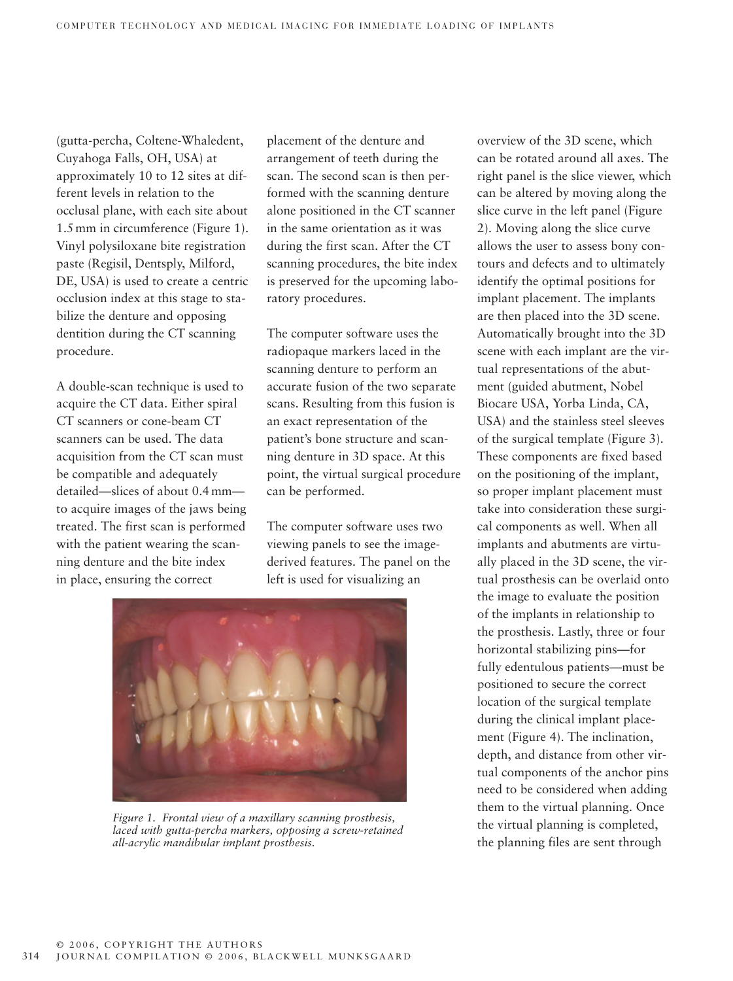(gutta-percha, Coltene-Whaledent, Cuyahoga Falls, OH, USA) at approximately 10 to 12 sites at different levels in relation to the occlusal plane, with each site about 1.5 mm in circumference (Figure 1). Vinyl polysiloxane bite registration paste (Regisil, Dentsply, Milford, DE, USA) is used to create a centric occlusion index at this stage to stabilize the denture and opposing dentition during the CT scanning procedure.

A double-scan technique is used to acquire the CT data. Either spiral CT scanners or cone-beam CT scanners can be used. The data acquisition from the CT scan must be compatible and adequately detailed—slices of about 0.4 mm to acquire images of the jaws being treated. The first scan is performed with the patient wearing the scanning denture and the bite index in place, ensuring the correct

placement of the denture and arrangement of teeth during the scan. The second scan is then performed with the scanning denture alone positioned in the CT scanner in the same orientation as it was during the first scan. After the CT scanning procedures, the bite index is preserved for the upcoming laboratory procedures.

The computer software uses the radiopaque markers laced in the scanning denture to perform an accurate fusion of the two separate scans. Resulting from this fusion is an exact representation of the patient's bone structure and scanning denture in 3D space. At this point, the virtual surgical procedure can be performed.

The computer software uses two viewing panels to see the imagederived features. The panel on the left is used for visualizing an



*Figure 1. Frontal view of a maxillary scanning prosthesis, laced with gutta-percha markers, opposing a screw-retained all-acrylic mandibular implant prosthesis.*

overview of the 3D scene, which can be rotated around all axes. The right panel is the slice viewer, which can be altered by moving along the slice curve in the left panel (Figure 2). Moving along the slice curve allows the user to assess bony contours and defects and to ultimately identify the optimal positions for implant placement. The implants are then placed into the 3D scene. Automatically brought into the 3D scene with each implant are the virtual representations of the abutment (guided abutment, Nobel Biocare USA, Yorba Linda, CA, USA) and the stainless steel sleeves of the surgical template (Figure 3). These components are fixed based on the positioning of the implant, so proper implant placement must take into consideration these surgical components as well. When all implants and abutments are virtually placed in the 3D scene, the virtual prosthesis can be overlaid onto the image to evaluate the position of the implants in relationship to the prosthesis. Lastly, three or four horizontal stabilizing pins—for fully edentulous patients—must be positioned to secure the correct location of the surgical template during the clinical implant placement (Figure 4). The inclination, depth, and distance from other virtual components of the anchor pins need to be considered when adding them to the virtual planning. Once the virtual planning is completed, the planning files are sent through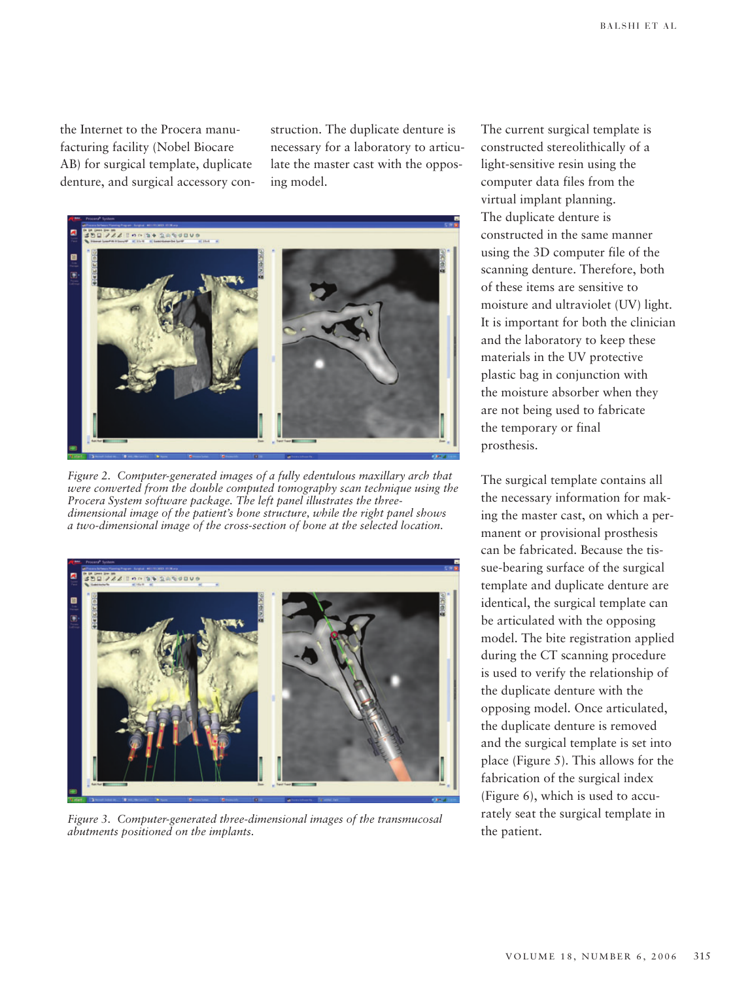the Internet to the Procera manufacturing facility (Nobel Biocare AB) for surgical template, duplicate denture, and surgical accessory construction. The duplicate denture is necessary for a laboratory to articulate the master cast with the opposing model.



*Figure 2. Computer-generated images of a fully edentulous maxillary arch that were converted from the double computed tomography scan technique using the Procera System software package. The left panel illustrates the threedimensional image of the patient's bone structure, while the right panel shows a two-dimensional image of the cross-section of bone at the selected location.*



*Figure 3. Computer-generated three-dimensional images of the transmucosal abutments positioned on the implants.*

The current surgical template is constructed stereolithically of a light-sensitive resin using the computer data files from the virtual implant planning. The duplicate denture is constructed in the same manner using the 3D computer file of the scanning denture. Therefore, both of these items are sensitive to moisture and ultraviolet (UV) light. It is important for both the clinician and the laboratory to keep these materials in the UV protective plastic bag in conjunction with the moisture absorber when they are not being used to fabricate the temporary or final prosthesis.

The surgical template contains all the necessary information for making the master cast, on which a permanent or provisional prosthesis can be fabricated. Because the tissue-bearing surface of the surgical template and duplicate denture are identical, the surgical template can be articulated with the opposing model. The bite registration applied during the CT scanning procedure is used to verify the relationship of the duplicate denture with the opposing model. Once articulated, the duplicate denture is removed and the surgical template is set into place (Figure 5). This allows for the fabrication of the surgical index (Figure 6), which is used to accurately seat the surgical template in the patient.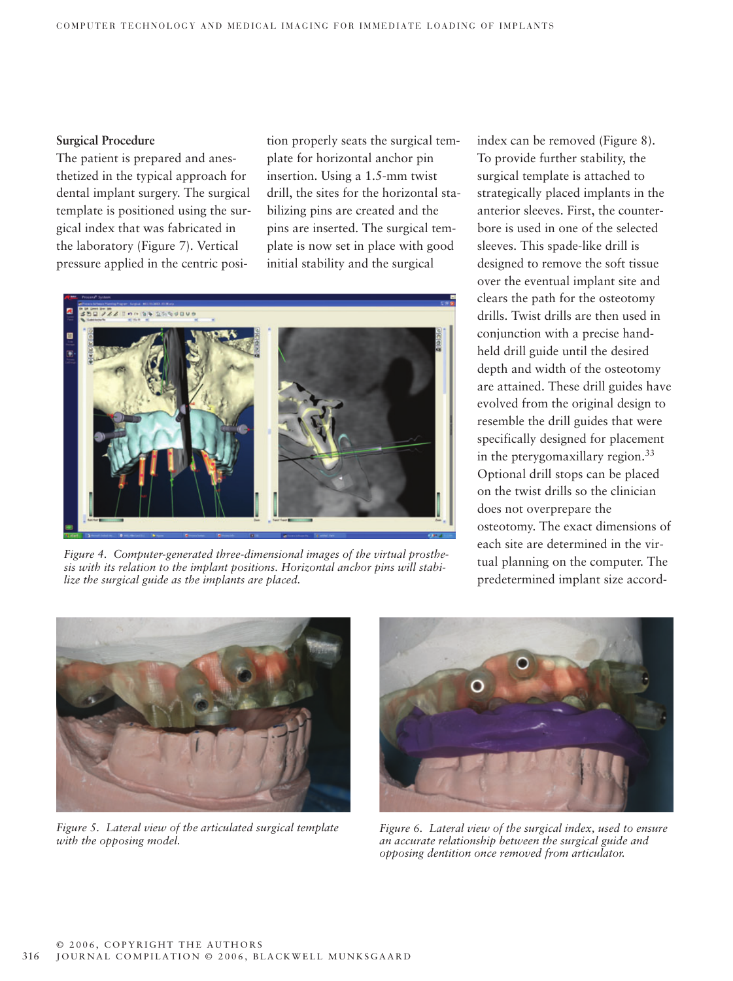#### **Surgical Procedure**

The patient is prepared and anesthetized in the typical approach for dental implant surgery. The surgical template is positioned using the surgical index that was fabricated in the laboratory (Figure 7). Vertical pressure applied in the centric position properly seats the surgical template for horizontal anchor pin insertion. Using a 1.5-mm twist drill, the sites for the horizontal stabilizing pins are created and the pins are inserted. The surgical template is now set in place with good initial stability and the surgical



*Figure 4. Computer-generated three-dimensional images of the virtual prosthesis with its relation to the implant positions. Horizontal anchor pins will stabilize the surgical guide as the implants are placed.*

index can be removed (Figure 8). To provide further stability, the surgical template is attached to strategically placed implants in the anterior sleeves. First, the counterbore is used in one of the selected sleeves. This spade-like drill is designed to remove the soft tissue over the eventual implant site and clears the path for the osteotomy drills. Twist drills are then used in conjunction with a precise handheld drill guide until the desired depth and width of the osteotomy are attained. These drill guides have evolved from the original design to resemble the drill guides that were specifically designed for placement in the pterygomaxillary region.33 Optional drill stops can be placed on the twist drills so the clinician does not overprepare the osteotomy. The exact dimensions of each site are determined in the virtual planning on the computer. The predetermined implant size accord-



*Figure 5. Lateral view of the articulated surgical template with the opposing model.*



*Figure 6. Lateral view of the surgical index, used to ensure an accurate relationship between the surgical guide and opposing dentition once removed from articulator.*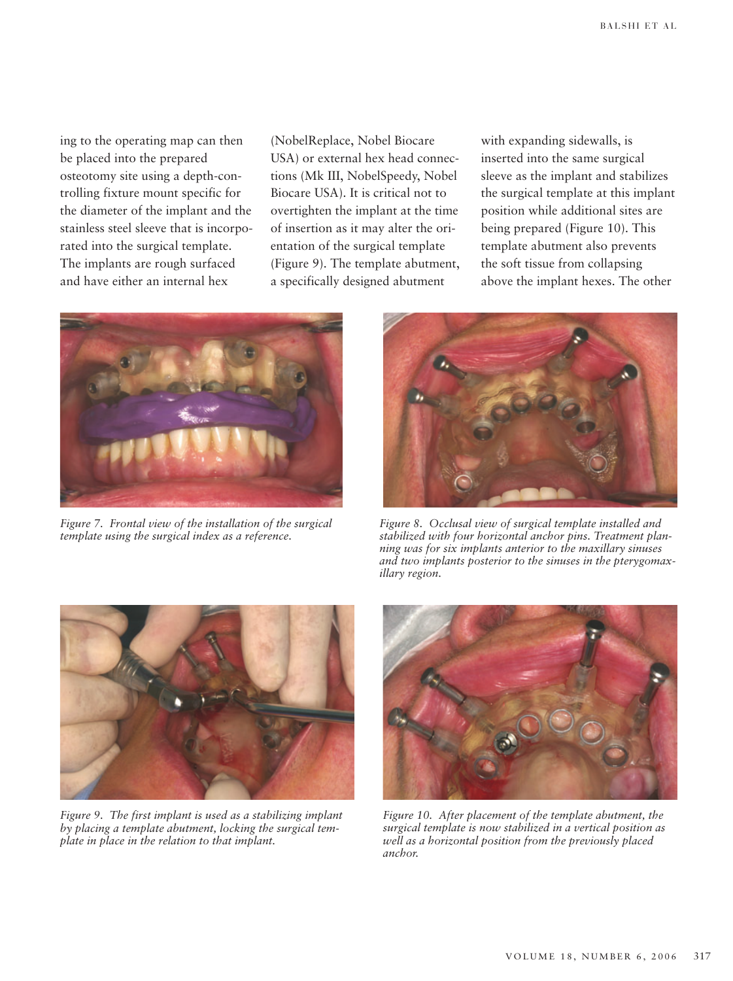ing to the operating map can then be placed into the prepared osteotomy site using a depth-controlling fixture mount specific for the diameter of the implant and the stainless steel sleeve that is incorporated into the surgical template. The implants are rough surfaced and have either an internal hex

(NobelReplace, Nobel Biocare USA) or external hex head connections (Mk III, NobelSpeedy, Nobel Biocare USA). It is critical not to overtighten the implant at the time of insertion as it may alter the orientation of the surgical template (Figure 9). The template abutment, a specifically designed abutment

with expanding sidewalls, is inserted into the same surgical sleeve as the implant and stabilizes the surgical template at this implant position while additional sites are being prepared (Figure 10). This template abutment also prevents the soft tissue from collapsing above the implant hexes. The other



*Figure 7. Frontal view of the installation of the surgical template using the surgical index as a reference.*



*Figure 8. Occlusal view of surgical template installed and stabilized with four horizontal anchor pins. Treatment planning was for six implants anterior to the maxillary sinuses and two implants posterior to the sinuses in the pterygomaxillary region.*



*Figure 9. The first implant is used as a stabilizing implant by placing a template abutment, locking the surgical template in place in the relation to that implant.*



*Figure 10. After placement of the template abutment, the surgical template is now stabilized in a vertical position as well as a horizontal position from the previously placed anchor.*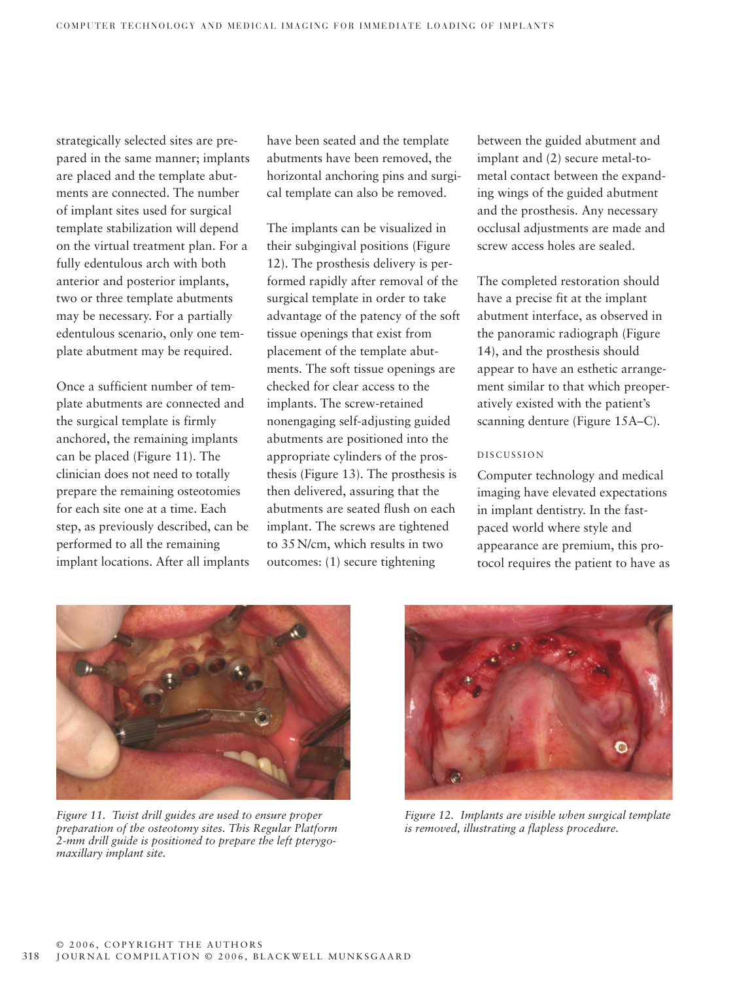strategically selected sites are prepared in the same manner; implants are placed and the template abutments are connected. The number of implant sites used for surgical template stabilization will depend on the virtual treatment plan. For a fully edentulous arch with both anterior and posterior implants, two or three template abutments may be necessary. For a partially edentulous scenario, only one template abutment may be required.

Once a sufficient number of template abutments are connected and the surgical template is firmly anchored, the remaining implants can be placed (Figure 11). The clinician does not need to totally prepare the remaining osteotomies for each site one at a time. Each step, as previously described, can be performed to all the remaining implant locations. After all implants have been seated and the template abutments have been removed, the horizontal anchoring pins and surgical template can also be removed.

The implants can be visualized in their subgingival positions (Figure 12). The prosthesis delivery is performed rapidly after removal of the surgical template in order to take advantage of the patency of the soft tissue openings that exist from placement of the template abutments. The soft tissue openings are checked for clear access to the implants. The screw-retained nonengaging self-adjusting guided abutments are positioned into the appropriate cylinders of the prosthesis (Figure 13). The prosthesis is then delivered, assuring that the abutments are seated flush on each implant. The screws are tightened to 35 N/cm, which results in two outcomes: (1) secure tightening

between the guided abutment and implant and (2) secure metal-tometal contact between the expanding wings of the guided abutment and the prosthesis. Any necessary occlusal adjustments are made and screw access holes are sealed.

The completed restoration should have a precise fit at the implant abutment interface, as observed in the panoramic radiograph (Figure 14), and the prosthesis should appear to have an esthetic arrangement similar to that which preoperatively existed with the patient's scanning denture (Figure 15A–C).

# DISCUSSION

Computer technology and medical imaging have elevated expectations in implant dentistry. In the fastpaced world where style and appearance are premium, this protocol requires the patient to have as



*Figure 11. Twist drill guides are used to ensure proper preparation of the osteotomy sites. This Regular Platform 2-mm drill guide is positioned to prepare the left pterygomaxillary implant site.*



*Figure 12. Implants are visible when surgical template is removed, illustrating a flapless procedure.*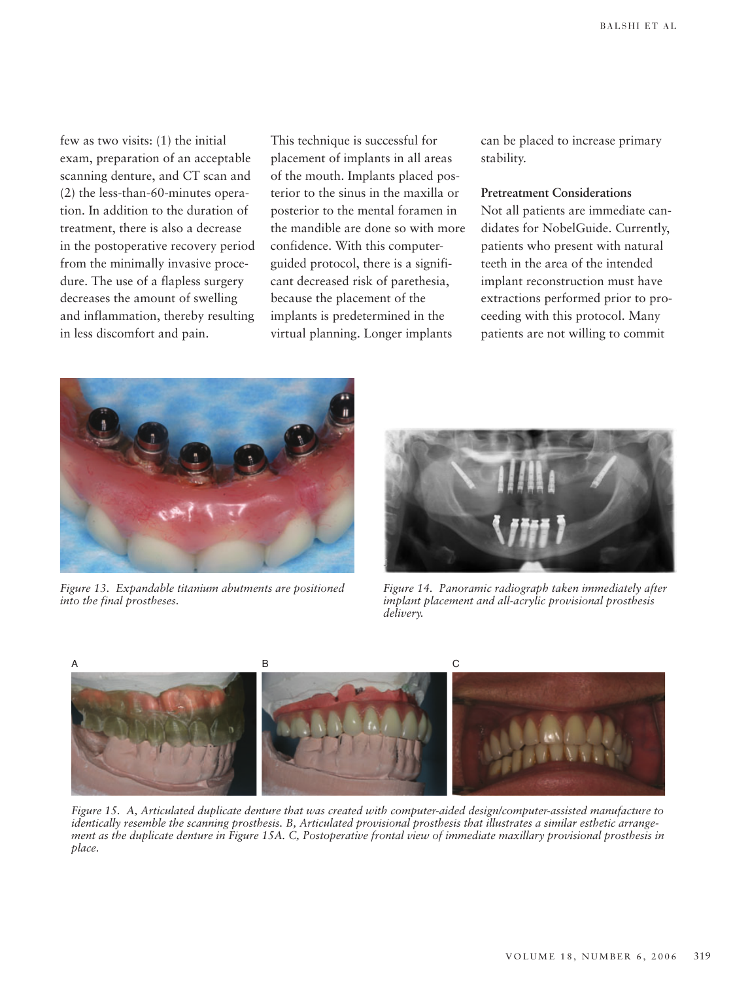few as two visits: (1) the initial exam, preparation of an acceptable scanning denture, and CT scan and (2) the less-than-60-minutes operation. In addition to the duration of treatment, there is also a decrease in the postoperative recovery period from the minimally invasive procedure. The use of a flapless surgery decreases the amount of swelling and inflammation, thereby resulting in less discomfort and pain.

This technique is successful for placement of implants in all areas of the mouth. Implants placed posterior to the sinus in the maxilla or posterior to the mental foramen in the mandible are done so with more confidence. With this computerguided protocol, there is a significant decreased risk of parethesia, because the placement of the implants is predetermined in the virtual planning. Longer implants

can be placed to increase primary stability.

### **Pretreatment Considerations**

Not all patients are immediate candidates for NobelGuide. Currently, patients who present with natural teeth in the area of the intended implant reconstruction must have extractions performed prior to proceeding with this protocol. Many patients are not willing to commit



*Figure 13. Expandable titanium abutments are positioned into the final prostheses.*



*Figure 14. Panoramic radiograph taken immediately after implant placement and all-acrylic provisional prosthesis delivery.*



*Figure 15. A, Articulated duplicate denture that was created with computer-aided design/computer-assisted manufacture to identically resemble the scanning prosthesis. B, Articulated provisional prosthesis that illustrates a similar esthetic arrangement as the duplicate denture in Figure 15A. C, Postoperative frontal view of immediate maxillary provisional prosthesis in place.*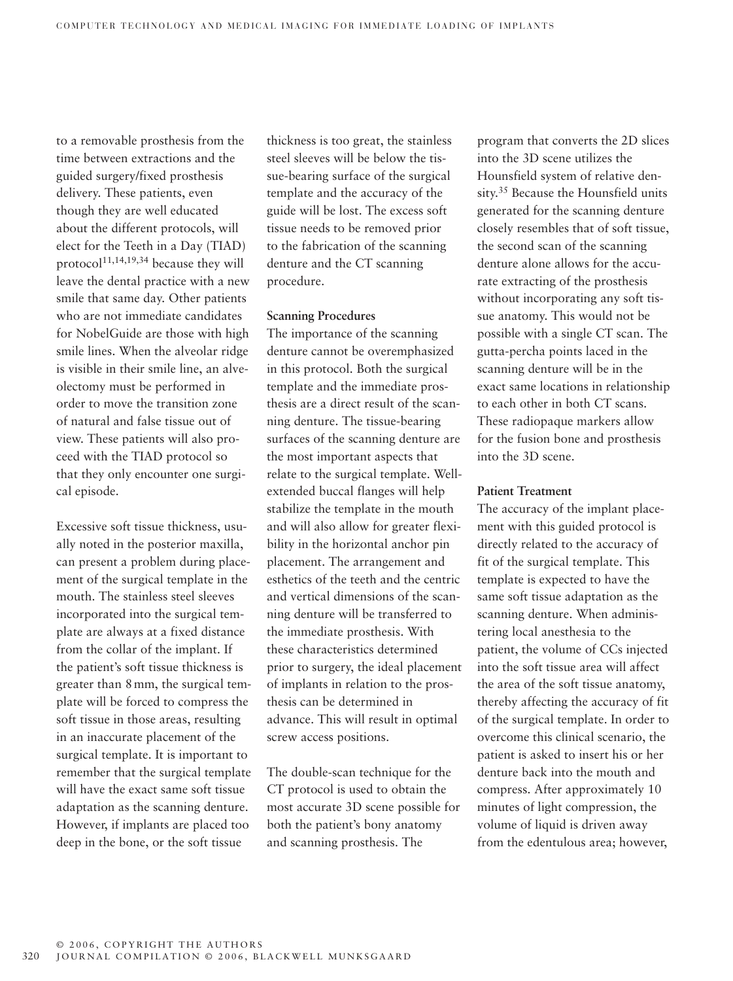to a removable prosthesis from the time between extractions and the guided surgery/fixed prosthesis delivery. These patients, even though they are well educated about the different protocols, will elect for the Teeth in a Day (TIAD) protocol<sup>11,14,19,34</sup> because they will leave the dental practice with a new smile that same day. Other patients who are not immediate candidates for NobelGuide are those with high smile lines. When the alveolar ridge is visible in their smile line, an alveolectomy must be performed in order to move the transition zone of natural and false tissue out of view. These patients will also proceed with the TIAD protocol so that they only encounter one surgical episode.

Excessive soft tissue thickness, usually noted in the posterior maxilla, can present a problem during placement of the surgical template in the mouth. The stainless steel sleeves incorporated into the surgical template are always at a fixed distance from the collar of the implant. If the patient's soft tissue thickness is greater than 8 mm, the surgical template will be forced to compress the soft tissue in those areas, resulting in an inaccurate placement of the surgical template. It is important to remember that the surgical template will have the exact same soft tissue adaptation as the scanning denture. However, if implants are placed too deep in the bone, or the soft tissue

thickness is too great, the stainless steel sleeves will be below the tissue-bearing surface of the surgical template and the accuracy of the guide will be lost. The excess soft tissue needs to be removed prior to the fabrication of the scanning denture and the CT scanning procedure.

# **Scanning Procedures**

The importance of the scanning denture cannot be overemphasized in this protocol. Both the surgical template and the immediate prosthesis are a direct result of the scanning denture. The tissue-bearing surfaces of the scanning denture are the most important aspects that relate to the surgical template. Wellextended buccal flanges will help stabilize the template in the mouth and will also allow for greater flexibility in the horizontal anchor pin placement. The arrangement and esthetics of the teeth and the centric and vertical dimensions of the scanning denture will be transferred to the immediate prosthesis. With these characteristics determined prior to surgery, the ideal placement of implants in relation to the prosthesis can be determined in advance. This will result in optimal screw access positions.

The double-scan technique for the CT protocol is used to obtain the most accurate 3D scene possible for both the patient's bony anatomy and scanning prosthesis. The

program that converts the 2D slices into the 3D scene utilizes the Hounsfield system of relative density.35 Because the Hounsfield units generated for the scanning denture closely resembles that of soft tissue, the second scan of the scanning denture alone allows for the accurate extracting of the prosthesis without incorporating any soft tissue anatomy. This would not be possible with a single CT scan. The gutta-percha points laced in the scanning denture will be in the exact same locations in relationship to each other in both CT scans. These radiopaque markers allow for the fusion bone and prosthesis into the 3D scene.

# **Patient Treatment**

The accuracy of the implant placement with this guided protocol is directly related to the accuracy of fit of the surgical template. This template is expected to have the same soft tissue adaptation as the scanning denture. When administering local anesthesia to the patient, the volume of CCs injected into the soft tissue area will affect the area of the soft tissue anatomy, thereby affecting the accuracy of fit of the surgical template. In order to overcome this clinical scenario, the patient is asked to insert his or her denture back into the mouth and compress. After approximately 10 minutes of light compression, the volume of liquid is driven away from the edentulous area; however,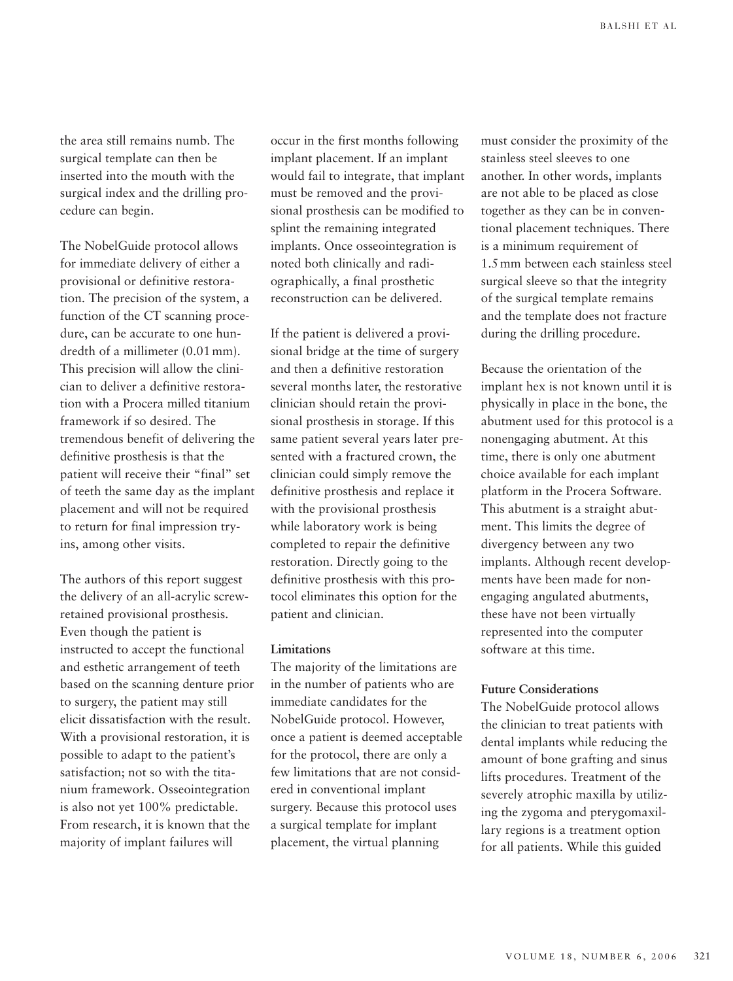the area still remains numb. The surgical template can then be inserted into the mouth with the surgical index and the drilling procedure can begin.

The NobelGuide protocol allows for immediate delivery of either a provisional or definitive restoration. The precision of the system, a function of the CT scanning procedure, can be accurate to one hundredth of a millimeter (0.01 mm). This precision will allow the clinician to deliver a definitive restoration with a Procera milled titanium framework if so desired. The tremendous benefit of delivering the definitive prosthesis is that the patient will receive their "final" set of teeth the same day as the implant placement and will not be required to return for final impression tryins, among other visits.

The authors of this report suggest the delivery of an all-acrylic screwretained provisional prosthesis. Even though the patient is instructed to accept the functional and esthetic arrangement of teeth based on the scanning denture prior to surgery, the patient may still elicit dissatisfaction with the result. With a provisional restoration, it is possible to adapt to the patient's satisfaction; not so with the titanium framework. Osseointegration is also not yet 100% predictable. From research, it is known that the majority of implant failures will

occur in the first months following implant placement. If an implant would fail to integrate, that implant must be removed and the provisional prosthesis can be modified to splint the remaining integrated implants. Once osseointegration is noted both clinically and radiographically, a final prosthetic reconstruction can be delivered.

If the patient is delivered a provisional bridge at the time of surgery and then a definitive restoration several months later, the restorative clinician should retain the provisional prosthesis in storage. If this same patient several years later presented with a fractured crown, the clinician could simply remove the definitive prosthesis and replace it with the provisional prosthesis while laboratory work is being completed to repair the definitive restoration. Directly going to the definitive prosthesis with this protocol eliminates this option for the patient and clinician.

### **Limitations**

The majority of the limitations are in the number of patients who are immediate candidates for the NobelGuide protocol. However, once a patient is deemed acceptable for the protocol, there are only a few limitations that are not considered in conventional implant surgery. Because this protocol uses a surgical template for implant placement, the virtual planning

must consider the proximity of the stainless steel sleeves to one another. In other words, implants are not able to be placed as close together as they can be in conventional placement techniques. There is a minimum requirement of 1.5 mm between each stainless steel surgical sleeve so that the integrity of the surgical template remains and the template does not fracture during the drilling procedure.

Because the orientation of the implant hex is not known until it is physically in place in the bone, the abutment used for this protocol is a nonengaging abutment. At this time, there is only one abutment choice available for each implant platform in the Procera Software. This abutment is a straight abutment. This limits the degree of divergency between any two implants. Although recent developments have been made for nonengaging angulated abutments, these have not been virtually represented into the computer software at this time.

# **Future Considerations**

The NobelGuide protocol allows the clinician to treat patients with dental implants while reducing the amount of bone grafting and sinus lifts procedures. Treatment of the severely atrophic maxilla by utilizing the zygoma and pterygomaxillary regions is a treatment option for all patients. While this guided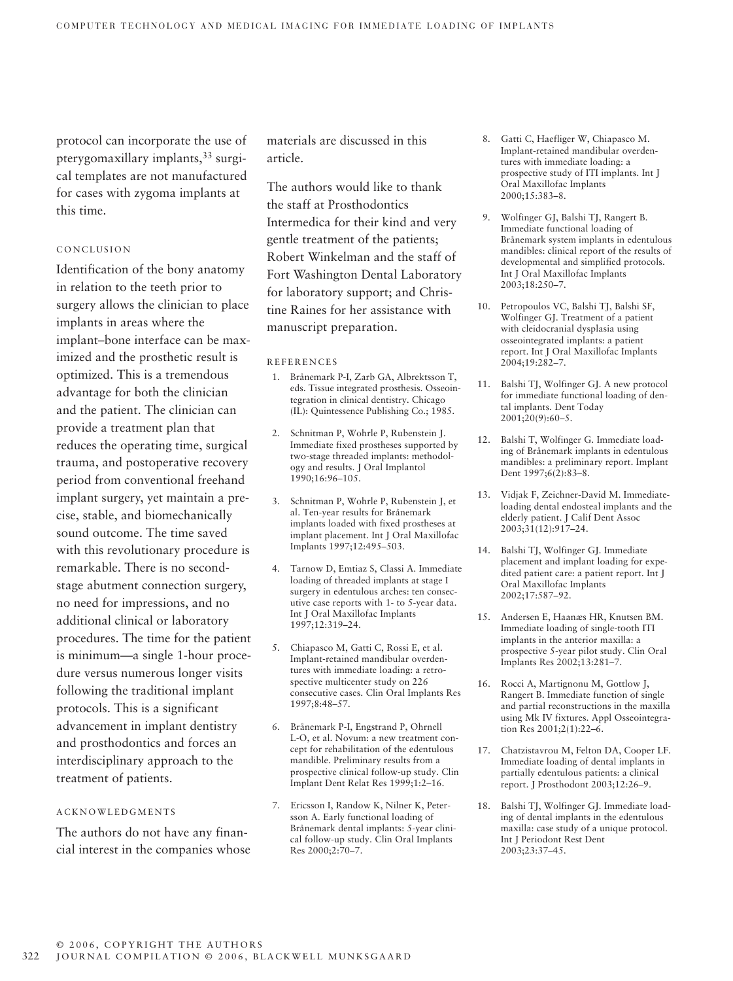protocol can incorporate the use of pterygomaxillary implants,33 surgical templates are not manufactured for cases with zygoma implants at this time.

### CONCLUSION

Identification of the bony anatomy in relation to the teeth prior to surgery allows the clinician to place implants in areas where the implant–bone interface can be maximized and the prosthetic result is optimized. This is a tremendous advantage for both the clinician and the patient. The clinician can provide a treatment plan that reduces the operating time, surgical trauma, and postoperative recovery period from conventional freehand implant surgery, yet maintain a precise, stable, and biomechanically sound outcome. The time saved with this revolutionary procedure is remarkable. There is no secondstage abutment connection surgery, no need for impressions, and no additional clinical or laboratory procedures. The time for the patient is minimum—a single 1-hour procedure versus numerous longer visits following the traditional implant protocols. This is a significant advancement in implant dentistry and prosthodontics and forces an interdisciplinary approach to the treatment of patients.

# ACKNOWLEDGMENTS

The authors do not have any financial interest in the companies whose materials are discussed in this article.

The authors would like to thank the staff at Prosthodontics Intermedica for their kind and very gentle treatment of the patients; Robert Winkelman and the staff of Fort Washington Dental Laboratory for laboratory support; and Christine Raines for her assistance with manuscript preparation.

#### REFERENCES

- 1. Brånemark P-I, Zarb GA, Albrektsson T, eds. Tissue integrated prosthesis. Osseointegration in clinical dentistry. Chicago (IL): Quintessence Publishing Co.; 1985.
- 2. Schnitman P, Wohrle P, Rubenstein J. Immediate fixed prostheses supported by two-stage threaded implants: methodology and results. J Oral Implantol 1990;16:96–105.
- 3. Schnitman P, Wohrle P, Rubenstein J, et al. Ten-year results for Brånemark implants loaded with fixed prostheses at implant placement. Int J Oral Maxillofac Implants 1997;12:495–503.
- 4. Tarnow D, Emtiaz S, Classi A. Immediate loading of threaded implants at stage I surgery in edentulous arches: ten consecutive case reports with 1- to 5-year data. Int J Oral Maxillofac Implants 1997;12:319–24.
- 5. Chiapasco M, Gatti C, Rossi E, et al. Implant-retained mandibular overdentures with immediate loading: a retrospective multicenter study on 226 consecutive cases. Clin Oral Implants Res 1997;8:48–57.
- 6. Brånemark P-I, Engstrand P, Ohrnell L-O, et al. Novum: a new treatment concept for rehabilitation of the edentulous mandible. Preliminary results from a prospective clinical follow-up study. Clin Implant Dent Relat Res 1999;1:2–16.
- 7. Ericsson I, Randow K, Nilner K, Petersson A. Early functional loading of Brånemark dental implants: 5-year clinical follow-up study. Clin Oral Implants Res 2000;2:70–7.
- 8. Gatti C, Haefliger W, Chiapasco M. Implant-retained mandibular overdentures with immediate loading: a prospective study of ITI implants. Int J Oral Maxillofac Implants 2000;15:383–8.
- 9. Wolfinger GJ, Balshi TJ, Rangert B. Immediate functional loading of Brånemark system implants in edentulous mandibles: clinical report of the results of developmental and simplified protocols. Int J Oral Maxillofac Implants 2003;18:250–7.
- 10. Petropoulos VC, Balshi TJ, Balshi SF, Wolfinger GJ. Treatment of a patient with cleidocranial dysplasia using osseointegrated implants: a patient report. Int J Oral Maxillofac Implants 2004;19:282–7.
- 11. Balshi TJ, Wolfinger GJ. A new protocol for immediate functional loading of dental implants. Dent Today  $2001;\!20(9):60-5.$
- 12. Balshi T, Wolfinger G. Immediate loading of Brånemark implants in edentulous mandibles: a preliminary report. Implant Dent 1997;6(2):83-8.
- 13. Vidjak F, Zeichner-David M. Immediateloading dental endosteal implants and the elderly patient. J Calif Dent Assoc 2003;31(12):917–24.
- 14. Balshi TJ, Wolfinger GJ. Immediate placement and implant loading for expedited patient care: a patient report. Int J Oral Maxillofac Implants 2002;17:587–92.
- 15. Andersen E, Haanæs HR, Knutsen BM. Immediate loading of single-tooth ITI implants in the anterior maxilla: a prospective 5-year pilot study. Clin Oral Implants Res 2002;13:281–7.
- 16. Rocci A, Martignonu M, Gottlow J, Rangert B. Immediate function of single and partial reconstructions in the maxilla using Mk IV fixtures. Appl Osseointegration Res 2001;2(1):22–6.
- 17. Chatzistavrou M, Felton DA, Cooper LF. Immediate loading of dental implants in partially edentulous patients: a clinical report. J Prosthodont 2003;12:26–9.
- 18. Balshi TJ, Wolfinger GJ. Immediate loading of dental implants in the edentulous maxilla: case study of a unique protocol. Int J Periodont Rest Dent 2003;23:37–45.